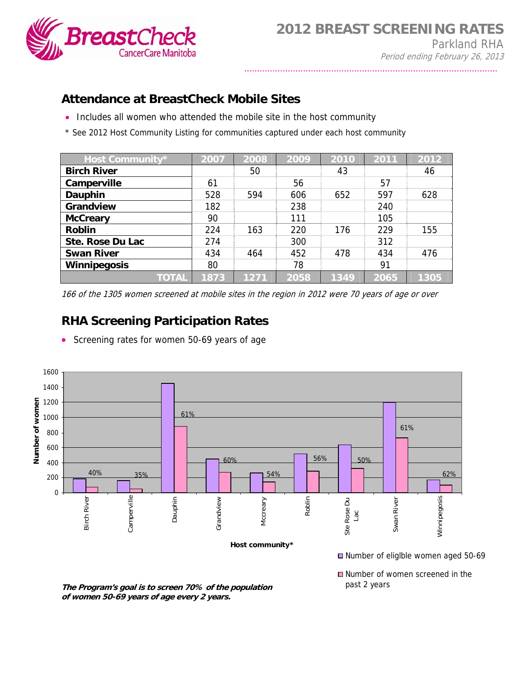

## **Attendance at BreastCheck Mobile Sites**

- Includes all women who attended the mobile site in the host community
- \* See 2012 Host Community Listing for communities captured under each host community

| Host Community*     | 2007 | 2008 | 2009 | 2010 | 2011 | 2012 |
|---------------------|------|------|------|------|------|------|
| <b>Birch River</b>  |      | 50   |      | 43   |      | 46   |
| Camperville         | 61   |      | 56   |      | 57   |      |
| Dauphin             | 528  | 594  | 606  | 652  | 597  | 628  |
| Grandview           | 182  |      | 238  |      | 240  |      |
| <b>McCreary</b>     | 90   |      | 111  |      | 105  |      |
| <b>Roblin</b>       | 224  | 163  | 220  | 176  | 229  | 155  |
| Ste. Rose Du Lac    | 274  |      | 300  |      | 312  |      |
| <b>Swan River</b>   | 434  | 464  | 452  | 478  | 434  | 476  |
| <b>Winnipegosis</b> | 80   |      | 78   |      | 91   |      |
| <b>TOTAL</b>        | 1873 | 1271 | 2058 | 1349 | 2065 | 1305 |

166 of the 1305 women screened at mobile sites in the region in 2012 were 70 years of age or over

## **RHA Screening Participation Rates**

• Screening rates for women 50-69 years of age



**The Program's goal is to screen 70% of the population of women 50-69 years of age every 2 years.**